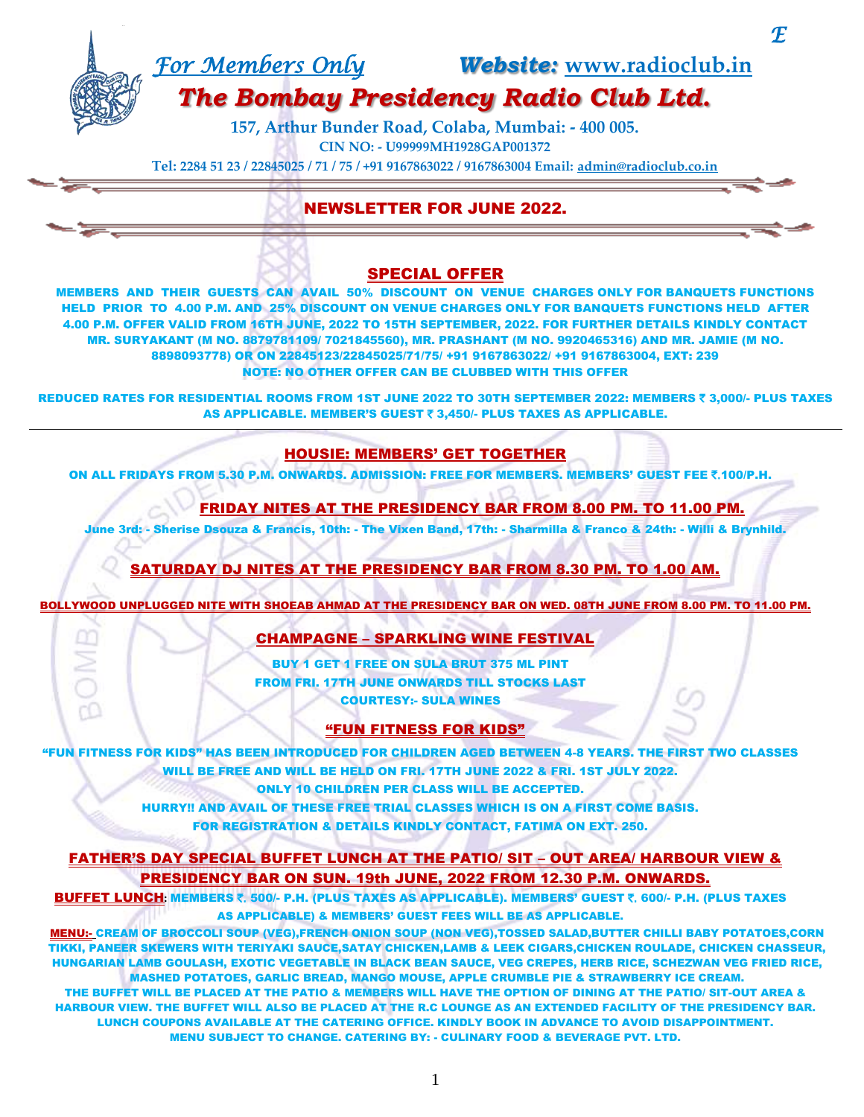# *For Members Only Website:* **[www.radioclub.in](http://www.radioclub.in/)**

*E* 

## *The Bombay Presidency Radio Club Ltd.*

**157, Arthur Bunder Road, Colaba, Mumbai: - 400 005. CIN NO: - U99999MH1928GAP001372**

**Tel: 2284 51 23 / 22845025 / 71 / 75 / +91 9167863022 / 9167863004 Email: [admin@radioclub.co.in](mailto:admin@radioclub.co.in)**

## NEWSLETTER FOR JUNE 2022.

### SPECIAL OFFER

MEMBERS AND THEIR GUESTS CAN AVAIL 50% DISCOUNT ON VENUE CHARGES ONLY FOR BANQUETS FUNCTIONS HELD PRIOR TO 4.00 P.M. AND 25% DISCOUNT ON VENUE CHARGES ONLY FOR BANQUETS FUNCTIONS HELD AFTER 4.00 P.M. OFFER VALID FROM 16TH JUNE, 2022 TO 15TH SEPTEMBER, 2022. FOR FURTHER DETAILS KINDLY CONTACT MR. SURYAKANT (M NO. 8879781109/ 7021845560), MR. PRASHANT (M NO. 9920465316) AND MR. JAMIE (M NO. 8898093778) OR ON 22845123/22845025/71/75/ +91 9167863022/ +91 9167863004, EXT: 239 NOTE: NO OTHER OFFER CAN BE CLUBBED WITH THIS OFFER

REDUCED RATES FOR RESIDENTIAL ROOMS FROM 1ST JUNE 2022 TO 30TH SEPTEMBER 2022: MEMBERS ₹ 3,000/- PLUS TAXES AS APPLICABLE. MEMBER'S GUEST ₹ 3,450/- PLUS TAXES AS APPLICABLE.

### HOUSIE: MEMBERS' GET TOGETHER

ON ALL FRIDAYS FROM 5.30 P.M. ONWARDS. ADMISSION: FREE FOR MEMBERS. MEMBERS' GUEST FEE ₹.100/P.H.

### FRIDAY NITES AT THE PRESIDENCY BAR FROM 8.00 PM. TO 11.00 PM.

June 3rd: - Sherise Dsouza & Francis, 10th: - The Vixen Band, 17th: - Sharmilla & Franco & 24th: - Willi & Brynhild.

### SATURDAY DJ NITES AT THE PRESIDENCY BAR FROM 8.30 PM. TO 1.00 AM.

BOLLYWOOD UNPLUGGED NITE WITH SHOEAB AHMAD AT THE PRESIDENCY BAR ON WED. 08TH JUNE FROM 8.00 PM. TO 11.00 PM.

### CHAMPAGNE – SPARKLING WINE FESTIVAL

BUY 1 GET 1 FREE ON SULA BRUT 375 ML PINT FROM FRI. 17TH JUNE ONWARDS TILL STOCKS LAST COURTESY:- SULA WINES

### "FUN FITNESS FOR KIDS"

"FUN FITNESS FOR KIDS" HAS BEEN INTRODUCED FOR CHILDREN AGED BETWEEN 4-8 YEARS. THE FIRST TWO CLASSES WILL BE FREE AND WILL BE HELD ON FRI. 17TH JUNE 2022 & FRI. 1ST JULY 2022.

ONLY 10 CHILDREN PER CLASS WILL BE ACCEPTED.

HURRY!! AND AVAIL OF THESE FREE TRIAL CLASSES WHICH IS ON A FIRST COME BASIS. FOR REGISTRATION & DETAILS KINDLY CONTACT, FATIMA ON EXT. 250.

### FATHER'S DAY SPECIAL BUFFET LUNCH AT THE PATIO/ SIT – OUT AREA/ HARBOUR VIEW & PRESIDENCY BAR ON SUN. 19th JUNE, 2022 FROM 12.30 P.M. ONWARDS.

BUFFET LUNCH**:** MEMBERS `. 500/- P.H. (PLUS TAXES AS APPLICABLE). MEMBERS' GUEST `. 600/- P.H. (PLUS TAXES AS APPLICABLE) & MEMBERS' GUEST FEES WILL BE AS APPLICABLE.

MENU:- CREAM OF BROCCOLI SOUP (VEG),FRENCH ONION SOUP (NON VEG),TOSSED SALAD,BUTTER CHILLI BABY POTATOES,CORN TIKKI, PANEER SKEWERS WITH TERIYAKI SAUCE,SATAY CHICKEN,LAMB & LEEK CIGARS,CHICKEN ROULADE, CHICKEN CHASSEUR, HUNGARIAN LAMB GOULASH, EXOTIC VEGETABLE IN BLACK BEAN SAUCE, VEG CREPES, HERB RICE, SCHEZWAN VEG FRIED RICE, MASHED POTATOES, GARLIC BREAD, MANGO MOUSE, APPLE CRUMBLE PIE & STRAWBERRY ICE CREAM.

THE BUFFET WILL BE PLACED AT THE PATIO & MEMBERS WILL HAVE THE OPTION OF DINING AT THE PATIO/ SIT-OUT AREA & HARBOUR VIEW. THE BUFFET WILL ALSO BE PLACED AT THE R.C LOUNGE AS AN EXTENDED FACILITY OF THE PRESIDENCY BAR. LUNCH COUPONS AVAILABLE AT THE CATERING OFFICE. KINDLY BOOK IN ADVANCE TO AVOID DISAPPOINTMENT. MENU SUBJECT TO CHANGE. CATERING BY: - CULINARY FOOD & BEVERAGE PVT. LTD.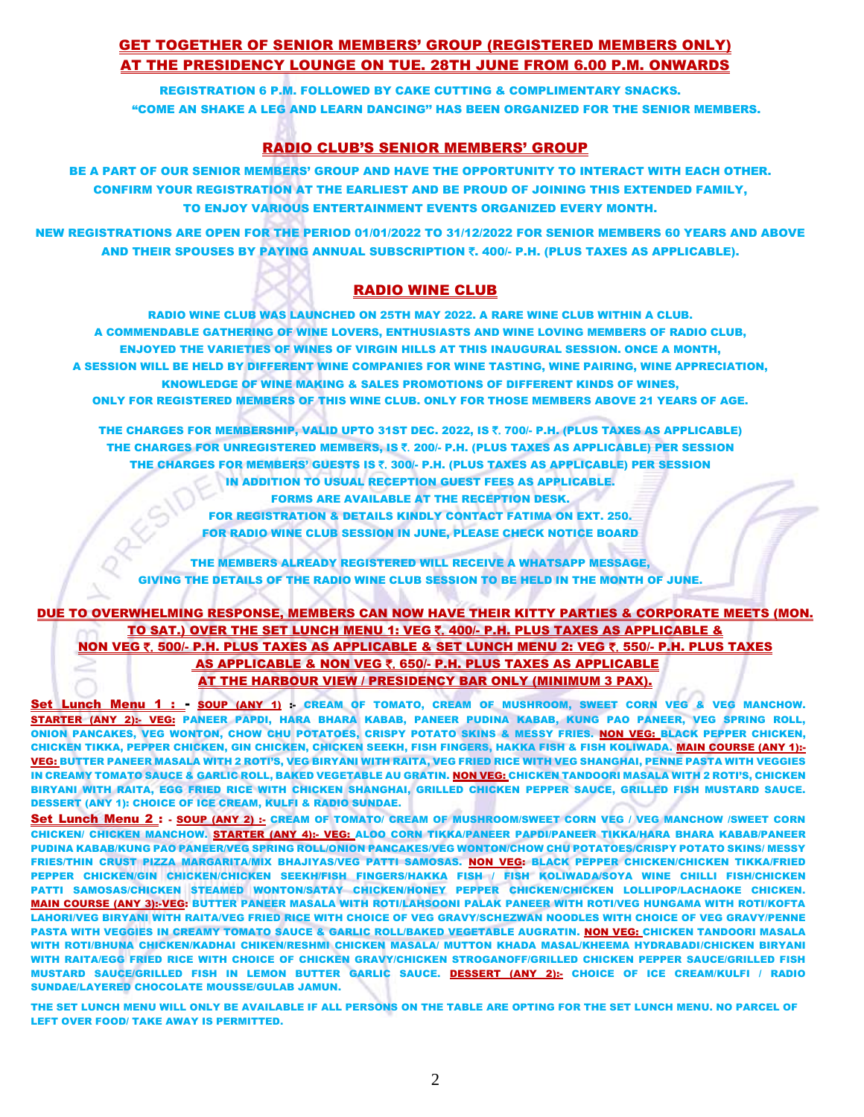### GET TOGETHER OF SENIOR MEMBERS' GROUP (REGISTERED MEMBERS ONLY) AT THE PRESIDENCY LOUNGE ON TUE. 28TH JUNE FROM 6.00 P.M. ONWARDS

REGISTRATION 6 P.M. FOLLOWED BY CAKE CUTTING & COMPLIMENTARY SNACKS. "COME AN SHAKE A LEG AND LEARN DANCING'' HAS BEEN ORGANIZED FOR THE SENIOR MEMBERS.

### RADIO CLUB'S SENIOR MEMBERS' GROUP

BE A PART OF OUR SENIOR MEMBERS' GROUP AND HAVE THE OPPORTUNITY TO INTERACT WITH EACH OTHER. CONFIRM YOUR REGISTRATION AT THE EARLIEST AND BE PROUD OF JOINING THIS EXTENDED FAMILY, TO ENJOY VARIOUS ENTERTAINMENT EVENTS ORGANIZED EVERY MONTH.

NEW REGISTRATIONS ARE OPEN FOR THE PERIOD 01/01/2022 TO 31/12/2022 FOR SENIOR MEMBERS 60 YEARS AND ABOVE AND THEIR SPOUSES BY PAYING ANNUAL SUBSCRIPTION 7. 400/- P.H. (PLUS TAXES AS APPLICABLE).

### RADIO WINE CLUB

RADIO WINE CLUB WAS LAUNCHED ON 25TH MAY 2022. A RARE WINE CLUB WITHIN A CLUB. A COMMENDABLE GATHERING OF WINE LOVERS, ENTHUSIASTS AND WINE LOVING MEMBERS OF RADIO CLUB, ENJOYED THE VARIETIES OF WINES OF VIRGIN HILLS AT THIS INAUGURAL SESSION. ONCE A MONTH, A SESSION WILL BE HELD BY DIFFERENT WINE COMPANIES FOR WINE TASTING, WINE PAIRING, WINE APPRECIATION, KNOWLEDGE OF WINE MAKING & SALES PROMOTIONS OF DIFFERENT KINDS OF WINES, ONLY FOR REGISTERED MEMBERS OF THIS WINE CLUB. ONLY FOR THOSE MEMBERS ABOVE 21 YEARS OF AGE.

THE CHARGES FOR MEMBERSHIP, VALID UPTO 31ST DEC. 2022, IS  $\bar{\tau}$ , 700/- P.H. (PLUS TAXES AS APPLICABLE) THE CHARGES FOR UNREGISTERED MEMBERS, IS  $\bar{\epsilon}$ , 200/- P.H. (PLUS TAXES AS APPLICABLE) PER SESSION THE CHARGES FOR MEMBERS' GUESTS IS ₹. 300/- P.H. (PLUS TAXES AS APPLICABLE) PER SESSION IN ADDITION TO USUAL RECEPTION GUEST FEES AS APPLICABLE. FORMS ARE AVAILABLE AT THE RECEPTION DESK.

> FOR REGISTRATION & DETAILS KINDLY CONTACT FATIMA ON EXT. 250. FOR RADIO WINE CLUB SESSION IN JUNE, PLEASE CHECK NOTICE BOARD

THE MEMBERS ALREADY REGISTERED WILL RECEIVE A WHATSAPP MESSAGE, GIVING THE DETAILS OF THE RADIO WINE CLUB SESSION TO BE HELD IN THE MONTH OF JUNE.

### DUE TO OVERWHELMING RESPONSE, MEMBERS CAN NOW HAVE THEIR KITTY PARTIES & CORPORATE MEETS (MON. TO SAT.) OVER THE SET LUNCH MENU 1: VEG ₹. 400/- P.H. PLUS TAXES AS APPLICABLE & NON VEG  $\bar{\tau}$ , 500/- P.H. PLUS TAXES AS APPLICABLE & SET LUNCH MENU 2: VEG  $\bar{\tau}$ , 550/- P.H. PLUS TAXES AS APPLICABLE & NON VEG ₹. 650/- P.H. PLUS TAXES AS APPLICABLE AT THE HARBOUR VIEW / PRESIDENCY BAR ONLY (MINIMUM 3 PAX).

Set Lunch Menu 1 : - SOUP (ANY 1) : CREAM OF TOMATO, CREAM OF MUSHROOM, SWEET CORN VEG & VEG MANCHOW. STARTER (ANY 2):- VEG: PANEER PAPDI, HARA BHARA KABAB, PANEER PUDINA KABAB, KUNG PAO PANEER, VEG SPRING ROLL, ONION PANCAKES, VEG WONTON, CHOW CHU POTATOES, CRISPY POTATO SKINS & MESSY FRIES. <mark>NON VEG: BLACK PEPPER CHICKEN,</mark> CHICKEN TIKKA, PEPPER CHICKEN, GIN CHICKEN, CHICKEN SEEKH, FISH FINGERS, HAKKA FISH & FISH KOLIWADA. MAIN COURSE (ANY 1):- VEG: BUTTER PANEER MASALA WITH 2 ROTI'S, VEG BIRYANI WITH RAITA, VEG FRIED RICE WITH VEG SHANGHAI, PENNE PASTA WITH VEGGIES IN CREAMY TOMATO SAUCE & GARLIC ROLL, BAKED VEGETABLE AU GRATIN. NON VEG: CHICKEN TANDOORI MASALA WITH 2 ROTI'S, CHICKEN BIRYANI WITH RAITA, EGG FRIED RICE WITH CHICKEN SHANGHAI, GRILLED CHICKEN PEPPER SAUCE, GRILLED FISH MUSTARD SAUCE. DESSERT (ANY 1): CHOICE OF ICE CREAM, KULFI & RADIO SUNDAE.

Set Lunch Menu 2 : - SOUP (ANY 2) :- CREAM OF TOMATO/ CREAM OF MUSHROOM/SWEET CORN VEG / VEG MANCHOW /SWEET CORN CHICKEN/ CHICKEN MANCHOW. STARTER (ANY 4):- VEG: ALOO CORN TIKKA/PANEER PAPDI/PANEER TIKKA/HARA BHARA KABAB/PANEER PUDINA KABAB/KUNG PAO PANEER/VEG SPRING ROLL/ONION PANCAKES/VEG WONTON/CHOW CHU POTATOES/CRISPY POTATO SKINS/ MESSY FRIES/THIN CRUST PIZZA MARGARITA/MIX BHAJIYAS/VEG PATTI SAMOSAS. NON VEG: BLACK PEPPER CHICKEN/CHICKEN TIKKA/FRIED PEPPER CHICKEN/GIN CHICKEN/CHICKEN SEEKH/FISH FINGERS/HAKKA FISH / FISH KOLIWADA/SOYA WINE CHILLI FISH/CHICKEN PATTI SAMOSAS/CHICKEN STEAMED WONTON/SATAY CHICKEN/HONEY PEPPER CHICKEN/CHICKEN LOLLIPOP/LACHAOKE CHICKEN. MAIN COURSE (ANY 3):-VEG: BUTTER PANEER MASALA WITH ROTI/LAHSOONI PALAK PANEER WITH ROTI/VEG HUNGAMA WITH ROTI/KOFTA LAHORI/VEG BIRYANI WITH RAITA/VEG FRIED RICE WITH CHOICE OF VEG GRAVY/SCHEZWAN NOODLES WITH CHOICE OF VEG GRAVY/PENNE PASTA WITH VEGGIES IN CREAMY TOMATO SAUCE & GARLIC ROLL/BAKED VEGETABLE AUGRATIN. NON VEG: CHICKEN TANDOORI MASALA WITH ROTI/BHUNA CHICKEN/KADHAI CHIKEN/RESHMI CHICKEN MASALA/ MUTTON KHADA MASAL/KHEEMA HYDRABADI/CHICKEN BIRYANI WITH RAITA/EGG FRIED RICE WITH CHOICE OF CHICKEN GRAVY/CHICKEN STROGANOFF/GRILLED CHICKEN PEPPER SAUCE/GRILLED FISH MUSTARD SAUCE/GRILLED FISH IN LEMON BUTTER GARLIC SAUCE. DESSERT (ANY 2):- CHOICE OF ICE CREAM/KULFI / RADIO SUNDAE/LAYERED CHOCOLATE MOUSSE/GULAB JAMUN.

THE SET LUNCH MENU WILL ONLY BE AVAILABLE IF ALL PERSONS ON THE TABLE ARE OPTING FOR THE SET LUNCH MENU. NO PARCEL OF LEFT OVER FOOD/ TAKE AWAY IS PERMITTED.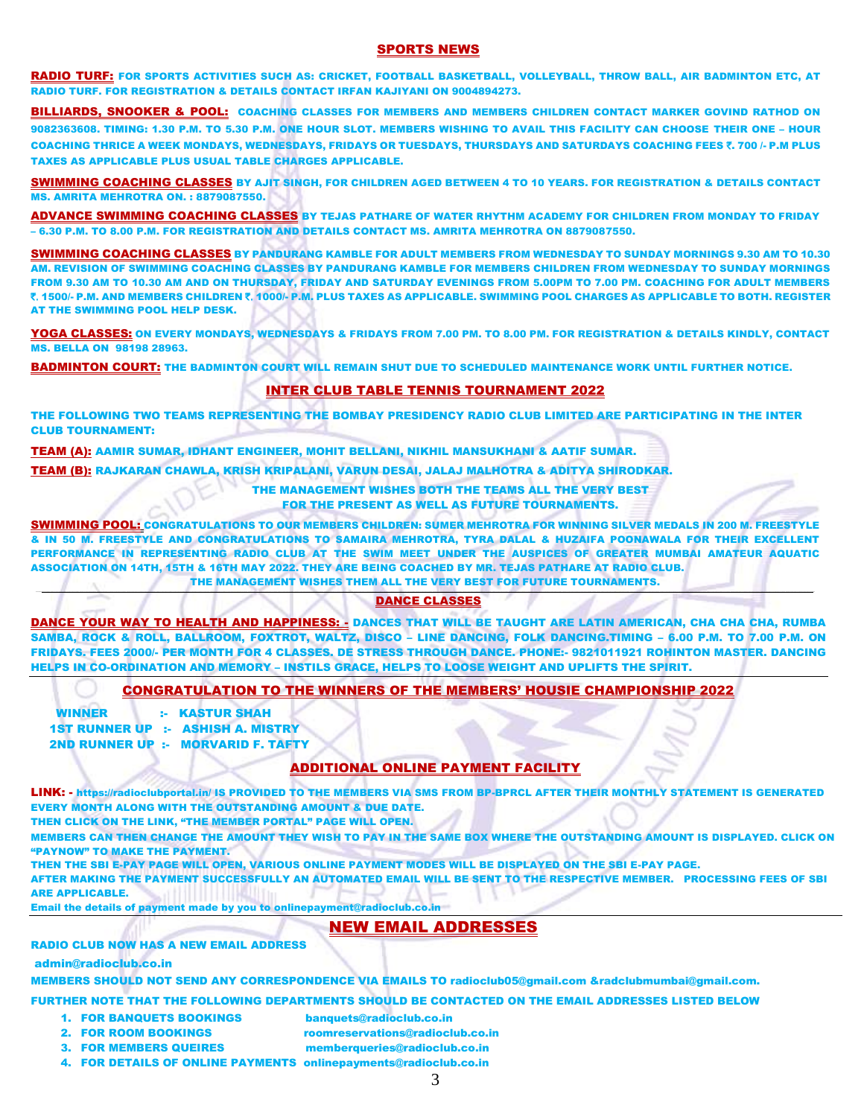#### SPORTS NEWS

RADIO TURF: FOR SPORTS ACTIVITIES SUCH AS: CRICKET, FOOTBALL BASKETBALL, VOLLEYBALL, THROW BALL, AIR BADMINTON ETC, AT RADIO TURF. FOR REGISTRATION & DETAILS CONTACT IRFAN KAJIYANI ON 9004894273.

BILLIARDS, SNOOKER & POOL: COACHING CLASSES FOR MEMBERS AND MEMBERS CHILDREN CONTACT MARKER GOVIND RATHOD ON 9082363608. TIMING: 1.30 P.M. TO 5.30 P.M. ONE HOUR SLOT. MEMBERS WISHING TO AVAIL THIS FACILITY CAN CHOOSE THEIR ONE – HOUR COACHING THRICE A WEEK MONDAYS, WEDNESDAYS, FRIDAYS OR TUESDAYS, THURSDAYS AND SATURDAYS COACHING FEES ₹. 700 /- P.M PLUS TAXES AS APPLICABLE PLUS USUAL TABLE CHARGES APPLICABLE.

SWIMMING COACHING CLASSES BY AJIT SINGH, FOR CHILDREN AGED BETWEEN 4 TO 10 YEARS. FOR REGISTRATION & DETAILS CONTACT MS. AMRITA MEHROTRA ON. : 8879087550.

ADVANCE SWIMMING COACHING CLASSES BY TEJAS PATHARE OF WATER RHYTHM ACADEMY FOR CHILDREN FROM MONDAY TO FRIDAY – 6.30 P.M. TO 8.00 P.M. FOR REGISTRATION AND DETAILS CONTACT MS. AMRITA MEHROTRA ON 8879087550.

SWIMMING COACHING CLASSES BY PANDURANG KAMBLE FOR ADULT MEMBERS FROM WEDNESDAY TO SUNDAY MORNINGS 9.30 AM TO 10.30 AM. REVISION OF SWIMMING COACHING CLASSES BY PANDURANG KAMBLE FOR MEMBERS CHILDREN FROM WEDNESDAY TO SUNDAY MORNINGS FROM 9.30 AM TO 10.30 AM AND ON THURSDAY, FRIDAY AND SATURDAY EVENINGS FROM 5.00PM TO 7.00 PM. COACHING FOR ADULT MEMBERS `. 1500/- P.M. AND MEMBERS CHILDREN `. 1000/- P.M. PLUS TAXES AS APPLICABLE. SWIMMING POOL CHARGES AS APPLICABLE TO BOTH. REGISTER AT THE SWIMMING POOL HELP DESK.

YOGA CLASSES: ON EVERY MONDAYS, WEDNESDAYS & FRIDAYS FROM 7.00 PM. TO 8.00 PM. FOR REGISTRATION & DETAILS KINDLY, CONTACT MS. BELLA ON 98198 28963.

BADMINTON COURT: THE BADMINTON COURT WILL REMAIN SHUT DUE TO SCHEDULED MAINTENANCE WORK UNTIL FURTHER NOTICE.

#### INTER CLUB TABLE TENNIS TOURNAMENT 2022

THE FOLLOWING TWO TEAMS REPRESENTING THE BOMBAY PRESIDENCY RADIO CLUB LIMITED ARE PARTICIPATING IN THE INTER CLUB TOURNAMENT:

TEAM (A): AAMIR SUMAR, IDHANT ENGINEER, MOHIT BELLANI, NIKHIL MANSUKHANI & AATIF SUMAR.

TEAM (B): RAJKARAN CHAWLA, KRISH KRIPALANI, VARUN DESAI, JALAJ MALHOTRA & ADITYA SHIRODKAR.

THE MANAGEMENT WISHES BOTH THE TEAMS ALL THE VERY BEST

FOR THE PRESENT AS WELL AS FUTURE TOURNAMENTS.

SWIMMING POOL: CONGRATULATIONS TO OUR MEMBERS CHILDREN: SUMER MEHROTRA FOR WINNING SILVER MEDALS IN 200 M. FREESTYLE & IN 50 M. FREESTYLE AND CONGRATULATIONS TO SAMAIRA MEHROTRA, TYRA DALAL & HUZAIFA POONAWALA FOR THEIR EXCELLENT PERFORMANCE IN REPRESENTING RADIO CLUB AT THE SWIM MEET UNDER THE AUSPICES OF GREATER MUMBAI AMATEUR AQUATIC ASSOCIATION ON 14TH, 15TH & 16TH MAY 2022. THEY ARE BEING COACHED BY MR. TEJAS PATHARE AT RADIO CLUB. THE MANAGEMENT WISHES THEM ALL THE VERY BEST FOR FUTURE TOURNAMENTS.

#### \_\_\_\_\_\_\_\_\_\_\_\_\_\_\_\_\_\_\_\_\_\_\_\_\_\_\_\_\_\_\_\_\_\_\_\_\_\_\_\_\_\_\_\_\_\_\_\_\_\_\_\_\_\_\_\_\_\_\_\_\_\_\_\_\_\_\_\_\_\_\_\_\_\_\_\_\_\_\_\_\_\_\_\_\_\_\_\_\_\_\_\_\_\_\_\_\_\_\_\_\_\_\_\_\_\_\_\_\_\_\_\_\_\_\_\_\_\_\_\_\_\_\_\_\_\_\_\_\_\_\_\_\_\_\_\_\_\_\_\_\_\_\_\_\_\_\_\_\_\_\_\_\_\_\_\_\_\_\_\_\_\_\_\_\_\_\_\_\_\_\_\_\_\_\_\_\_\_\_\_\_\_\_\_\_\_\_\_\_\_\_\_\_\_\_\_\_\_\_\_\_\_\_\_\_\_\_\_\_\_\_\_\_\_\_\_\_\_\_\_\_\_\_\_\_\_\_\_\_\_\_\_\_\_\_\_\_\_\_\_\_\_\_\_\_\_\_\_\_\_\_\_\_\_\_\_\_\_\_\_\_\_\_\_\_\_\_\_\_\_\_\_\_\_\_\_\_\_\_\_\_\_\_\_\_\_\_\_\_\_\_\_\_\_\_\_\_\_\_\_\_\_\_\_\_\_\_\_\_\_\_\_\_\_\_\_\_\_\_\_\_\_\_\_\_\_\_\_\_\_\_\_\_\_\_\_\_\_\_\_\_\_\_\_\_\_\_\_\_\_\_\_\_\_\_\_\_\_\_\_\_\_\_\_\_\_\_\_\_\_\_\_\_\_\_\_\_\_\_\_\_\_\_\_\_\_\_\_\_\_\_\_\_\_\_\_\_\_\_\_\_\_\_\_\_\_\_\_\_\_\_\_\_\_\_\_\_\_\_\_\_\_\_\_\_\_\_\_\_\_\_\_\_\_\_\_\_\_\_\_\_\_\_\_\_\_\_\_\_\_\_\_\_\_\_\_\_\_\_\_\_\_\_\_\_\_\_\_\_\_\_\_\_\_\_\_\_\_\_\_\_\_\_\_\_\_\_\_\_\_\_\_\_\_\_\_\_\_\_\_\_\_\_\_\_\_\_\_\_\_\_\_\_\_\_\_\_\_\_\_\_\_\_\_\_\_\_\_\_\_\_\_\_\_\_\_\_\_\_\_\_\_\_\_\_\_\_\_\_\_\_\_ DANCE CLASSES

DANCE YOUR WAY TO HEALTH AND HAPPINESS: - DANCES THAT WILL BE TAUGHT ARE LATIN AMERICAN, CHA CHA, CHA, RUMBA SAMBA, ROCK & ROLL, BALLROOM, FOXTROT, WALTZ, DISCO – LINE DANCING, FOLK DANCING.TIMING – 6.00 P.M. TO 7.00 P.M. ON FRIDAYS. FEES 2000/- PER MONTH FOR 4 CLASSES. DE STRESS THROUGH DANCE. PHONE:- 9821011921 ROHINTON MASTER. DANCING HELPS IN CO-ORDINATION AND MEMORY – INSTILS GRACE, HELPS TO LOOSE WEIGHT AND UPLIFTS THE SPIRIT.

#### CONGRATULATION TO THE WINNERS OF THE MEMBERS' HOUSIE CHAMPIONSHIP 2022

WINNER :- KASTUR SHAH 1ST RUNNER UP :- ASHISH A. MISTRY 2ND RUNNER UP :- MORVARID F. TAFTY

### ADDITIONAL ONLINE PAYMENT FACILITY

LINK: - <https://radioclubportal.in/> IS PROVIDED TO THE MEMBERS VIA SMS FROM BP-BPRCL AFTER THEIR MONTHLY STATEMENT IS GENERATED EVERY MONTH ALONG WITH THE OUTSTANDING AMOUNT & DUE DATE.

THEN CLICK ON THE LINK, "THE MEMBER PORTAL" PAGE WILL OPEN.

MEMBERS CAN THEN CHANGE THE AMOUNT THEY WISH TO PAY IN THE SAME BOX WHERE THE OUTSTANDING AMOUNT IS DISPLAYED. CLICK ON "PAYNOW" TO MAKE THE PAYMENT.

THEN THE SBI E-PAY PAGE WILL OPEN, VARIOUS ONLINE PAYMENT MODES WILL BE DISPLAYED ON THE SBI E-PAY PAGE.

AFTER MAKING THE PAYMENT SUCCESSFULLY AN AUTOMATED EMAIL WILL BE SENT TO THE RESPECTIVE MEMBER. PROCESSING FEES OF SBI ARE APPLICABLE. Email the details of payment made by you to [onlinepayment@radioclub.co.in](mailto:onlinepayment@radioclub.co.in)

### NEW EMAIL ADDRESSES

#### RADIO CLUB NOW HAS A NEW EMAIL ADDRESS

admin@radioclub.co.in

MEMBERS SHOULD NOT SEND ANY CORRESPONDENCE VIA EMAILS TO radioclub05@gmail.com &radclubmumbai@gmail.com.

FURTHER NOTE THAT THE FOLLOWING DEPARTMENTS SHOULD BE CONTACTED ON THE EMAIL ADDRESSES LISTED BELOW

- 1. FOR BANQUETS BOOKINGS banquets@radioclub.co.in
- 
- 2. FOR ROOM BOOKINGS roomreservations@radioclub.co.in
- 3. FOR MEMBERS QUEIRES [memberqueries@radioclub.co.in](mailto:memberqueries@radioclub.co.in)
- 4. FOR DETAILS OF ONLINE PAYMENTS onlinepayments@radioclub.co.in